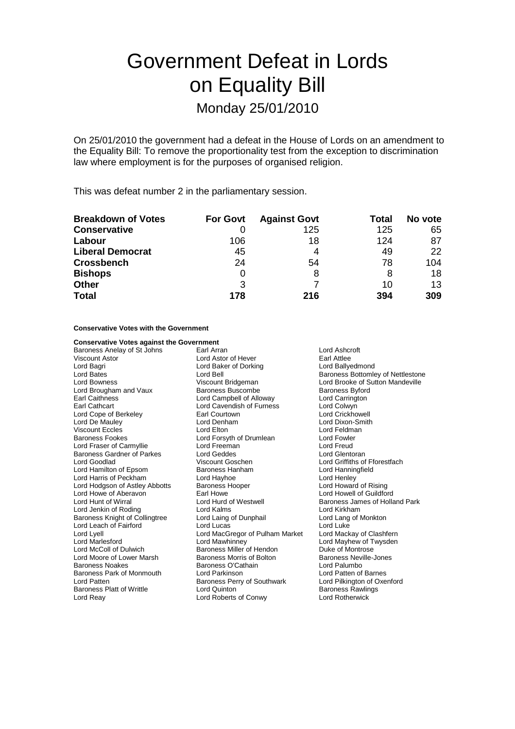# Government Defeat in Lords on Equality Bill Monday 25/01/2010

On 25/01/2010 the government had a defeat in the House of Lords on an amendment to the Equality Bill: To remove the proportionality test from the exception to discrimination law where employment is for the purposes of organised religion.

This was defeat number 2 in the parliamentary session.

| <b>Breakdown of Votes</b> | <b>For Govt</b> | <b>Against Govt</b> | Total | No vote |
|---------------------------|-----------------|---------------------|-------|---------|
| <b>Conservative</b>       |                 | 125                 | 125   | 65      |
| Labour                    | 106             | 18                  | 124   | 87      |
| <b>Liberal Democrat</b>   | 45              | 4                   | 49    | 22      |
| <b>Crossbench</b>         | 24              | 54                  | 78    | 104     |
| <b>Bishops</b>            |                 | 8                   |       | 18      |
| <b>Other</b>              | 3               |                     | 10    | 13      |
| <b>Total</b>              | 178             | 216                 | 394   | 309     |

### **Conservative Votes with the Government**

| <b>Conservative Votes against the Government</b> |                                    |                                          |
|--------------------------------------------------|------------------------------------|------------------------------------------|
| Baroness Anelay of St Johns                      | Earl Arran                         | Lord Ashcroft                            |
| Viscount Astor                                   | Lord Astor of Hever                | Earl Attlee                              |
| Lord Bagri                                       | Lord Baker of Dorking              | Lord Ballyedmond                         |
| Lord Bates                                       | Lord Bell                          | <b>Baroness Bottomley of Nettlestone</b> |
| Lord Bowness                                     | Viscount Bridgeman                 | Lord Brooke of Sutton Mandeville         |
| Lord Brougham and Vaux                           | Baroness Buscombe                  | <b>Baroness Byford</b>                   |
| <b>Earl Caithness</b>                            | Lord Campbell of Alloway           | Lord Carrington                          |
| Earl Cathcart                                    | Lord Cavendish of Furness          | Lord Colwyn                              |
| Lord Cope of Berkeley                            | Earl Courtown                      | Lord Crickhowell                         |
| Lord De Mauley                                   | Lord Denham                        | Lord Dixon-Smith                         |
| <b>Viscount Eccles</b>                           | Lord Elton                         | Lord Feldman                             |
| <b>Baroness Fookes</b>                           | Lord Forsyth of Drumlean           | Lord Fowler                              |
| Lord Fraser of Carmyllie                         | Lord Freeman                       | Lord Freud                               |
| <b>Baroness Gardner of Parkes</b>                | Lord Geddes                        | Lord Glentoran                           |
| Lord Goodlad                                     | Viscount Goschen                   | Lord Griffiths of Fforestfach            |
| Lord Hamilton of Epsom                           | Baroness Hanham                    | Lord Hanningfield                        |
| Lord Harris of Peckham                           | Lord Hayhoe                        | Lord Henley                              |
| Lord Hodgson of Astley Abbotts                   | <b>Baroness Hooper</b>             | Lord Howard of Rising                    |
| Lord Howe of Aberavon                            | Earl Howe                          | Lord Howell of Guildford                 |
| Lord Hunt of Wirral                              | Lord Hurd of Westwell              | Baroness James of Holland Park           |
| Lord Jenkin of Roding                            | Lord Kalms                         | Lord Kirkham                             |
| Baroness Knight of Collingtree                   | Lord Laing of Dunphail             | Lord Lang of Monkton                     |
| Lord Leach of Fairford                           | Lord Lucas                         | Lord Luke                                |
| Lord Lyell                                       | Lord MacGregor of Pulham Market    | Lord Mackay of Clashfern                 |
| Lord Marlesford                                  | Lord Mawhinney                     | Lord Mayhew of Twysden                   |
| Lord McColl of Dulwich                           | Baroness Miller of Hendon          | Duke of Montrose                         |
| Lord Moore of Lower Marsh                        | Baroness Morris of Bolton          | <b>Baroness Neville-Jones</b>            |
| <b>Baroness Noakes</b>                           | Baroness O'Cathain                 | Lord Palumbo                             |
| Baroness Park of Monmouth                        | Lord Parkinson                     | Lord Patten of Barnes                    |
| Lord Patten                                      | <b>Baroness Perry of Southwark</b> | Lord Pilkington of Oxenford              |
| Baroness Platt of Writtle                        | Lord Quinton                       | <b>Baroness Rawlings</b>                 |
| Lord Reay                                        | Lord Roberts of Conwy              | <b>Lord Rotherwick</b>                   |
|                                                  |                                    |                                          |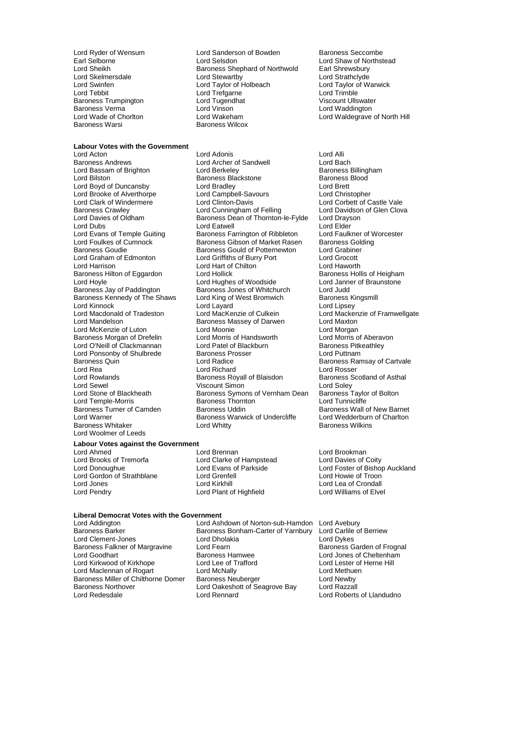Baroness Trumpington

### **Labour Votes with the Government**

Lord Brooke of Alverthorpe<br>Lord Clark of Windermere Baroness Goudie **Baroness Gould of Potternewton**<br>Lord Graham of Edmonton **Baron Lord Griffiths of Burry Port** Baroness Hilton of Eggardon Lord Hollick<br>Lord Hoyle **Lord Hughes of Woodside** Lord Kinnock<br>
Lord Macdonald of Tradeston
Lord MacKenzie of Culkein Lord Ponsonby of Shulbrede Lord Rowlands **Baroness Royall of Blaisdon**<br>Lord Sewel Baroness Royall of Blaisdon<br>Uscount Simon Lord Temple-Morris **Baroness Thornt**<br>Baroness Turner of Camden Baroness Uddin Baroness Whitaker **Lord Whitty** Lord Woolmer of Leeds

### **Labour Votes against the Government**<br> **Lord Ahmed Lord Ahmed**

Lord Gordon of Strathblane **Lord Grential Lord Cordinator Cord Howie of Troon**<br>
Lord Jones **Lord Crondall**<br>
Lord Lord Lord Crondall Lord Jones Lord Kirkhill Lord Lea of Crondall

Lord Ryder of Wensum **Lord Sanderson of Bowden** Baroness Seccombe<br>
Earl Selborne **Baroness Seccombe**<br>
Lord Shaw of Northst Earl Selborne **Lord Selsdon** Lord Selsdon **Lord Shaw of Northstead**<br>
Lord Sheikh **Cord Shaw Baroness Shephard of Northwold** Earl Shrewsbury Lord Sheikh Baroness Shephard of Northwold Earl Shrewsbury<br>Lord Skelmersdale **Baroness Shephard of Northwold** Earl Strathclyde Lord Skelmersdale Lord Stewartby Lord Strathclyde Lord Swinfen **Lord Taylor of Holbeach** Lord Taylor of Holbeach Lord Taylor of Lord Taylor of Lord Trefoarne Lord Trefgarne Lord Trimble<br>
Lord Tugendhat Lord Trimble<br>
Viscount Ullswater Baroness Verma Lord Vinson Lord Waddington Lord Wade of Chorlton **Lord Wakeham** Lord Waldegrave of North Hill<br>Baroness Warsi Baroness Wilcox Baroness Wilcox

Lord Acton Lord Adonis Lord Alli Baroness Andrews Lord Archer of Sandwell Lord Bach Lord Bassam of Brighton Lord Berkeley Communication Baroness Billing<br>Lord Bilston Baroness Backstone Baroness Blood External Baroness<br>
Baroness<br>
Lord Bradlev<br>
Lord Brett Lord Boyd of Duncansby Lord Bradley Lord Brett Lord Clark of Windermere Lord Clinton-Davis Lord Corbett of Castle Vale<br>
Baroness Crawley Lord Cunningham of Felling Lord Davidson of Glen Clova<br>
Lord Davies of Oldham Baroness Dean of Thornton-le-Fylde Lord Drayson Lord Cunningham of Felling Lord Davies of Oldham Baroness Dean of Thornton-le-Fylde Lord Drayson<br>Lord Dubs Lord Elder Lord Elder Lord Dubs<br>
Lord Evans of Temple Guiting **Lord Eatwell** Cord Eatly Represent to the Lord Eaulkner of Worcester Lord Evans of Temple Guiting Baroness Farrington of Ribbleton Lord Faulkner of V<br>
Lord Foulkes of Cumnock Baroness Gibson of Market Rasen Baroness Golding Lord Foulkes of Cumnock and Baroness Gibson of Market Rasen Baroness Gold<br>Baroness Goudie Baroness Gould of Potternewton Lord Grabiner Lord Graham of Edmonton Lord Griffiths of Burry Port Lord Grocott Lord Hart of Chilton **Lord Hart of Chilton Lord Haworth Lord Halt A**<br>
Baroness Hollis of Heigham Lord Hoyle **Lord Hughes of Woodside** Lord Janner of Braunstone<br>
Baroness Jay of Paddington Baroness Jones of Whitchurch Lord Judd Baroness Jones of Whitchurch Lord Judd<br>
Lord King of West Bromwich Baroness Kingsmill Baroness Kennedy of The Shaws Lord King of West Bromwich Baroness Kingsmill Baroness Kingsmill Baroness Kingsmi<br>Lord Layard Layard Lord Lord Lipsey Lord Macdonald of Tradeston Lord MacKenzie of Culkein Lord Mackenzie of Framwellgate Exaroness Massey of Darwen Lord Maxton<br>Lord Moonie Lord Morgan Lord McKenzie of Luton **Lord Moonie** Lord Moonie Lord Morgan<br>
Baroness Morgan of Drefelin **Lord Morris of Handsworth** Lord Morris of Aberavon Baroness Morgan of Drefelin Lord Morris of Handsworth Lord Morris of Aberavon Lord Division Corres Lord Patel of Blackburn Caroness Pitkeathley Lord O'Neill of Clackmannan Lord Patel of Blackburn Baroness Pitk<br>
Lord Ponsonby of Shulbrede Baroness Prosser Lord Puttnam Baroness Quin **Baroness Communist Control** Lord Radice **Baroness Ramsay of Cartvale**<br>
Lord Rea **Baroness Ramsay of Cartvale**<br>
Lord Rea Lord Rea Lord Richard Lord Rosser<br>
Lord Rowlands **Rational Barchard Reader**<br>
Lord Rowlands **Rational Barchard Reader** Barchard Barchard Reader Lord Rewel<br>
Lord Sewel **Communist Communist Communist Communist Communist Communist Communist Communist Communist Communist**<br>
Lord Stone of Blackheath **Communist Communist Communist Communist Communist Communist Communist** Baroness Symons of Vernham Dean Baroness Taylor<br>Baroness Thornton **Bolton** Lord Tunnicliffe Lord Warner **Baroness Warwick of Undercliffe** Lord Wedderburn<br>Baroness Whitaker **Charlton Club Club Charles Charles Charles** Baroness Wilkins

Lord Ahmed<br>
Lord Brooks of Tremorfa<br>
Lord Brooks of Tremorfa<br>
Lord Davies of Coity Lord Clarke of Hampstead<br>Lord Evans of Parkside Lord Plant of Highfield

## **Liberal Democrat Votes with the Government**

Baroness Falkner of Margravine Lord Fearn<br>Lord Goodhart **Baroness Hamwee** 

Lord Addington Lord Ashdown of Norton-sub-Hamdon Lord Avebury Baroness Bonham-Carter of Yarnbury Lord Carlile<br>Lord Dholakia Lord Dykes Lord Clement-Jones Lord Dholakia Lord Dykes<br>
Baroness Falkner of Margravine Lord Fearn Lord Text Corpus Baroness Garden of Frognal Baroness Hamwee Lord Jones of Cheltenham<br>
Lord Lee of Trafford Lord Lester of Herne Hill Lord Kirkwood of Kirkhope Lord Lee of Trafford Lord Lester of Lord Lester of Lord Lester of Lord Methuen Lord Maclennan of Rogart Lord McNally Lord Methuender Cord Methuender Cord Methuender Cord Newby<br>Baroness Miller of Chilthorne Domer Baroness Neuberger Cord Newby Baroness Miller of Chilthorne Domer Baroness Neuberger Lord Newby Lord Oakeshott of Seagrove Bay Lord Redesdale Lord Rennard Lord Roberts of Llandudno

Baroness Wall of New Barnet<br>Lord Wedderburn of Charlton

Lord Donoughue Lord Evans of Parkside Lord Foster of Bishop Auckland